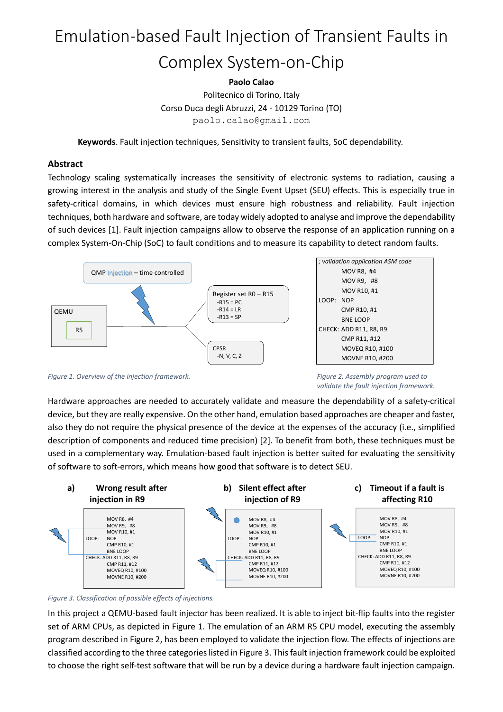# Emulation-based Fault Injection of Transient Faults in Complex System-on-Chip

# **Paolo Calao**

Politecnico di Torino, Italy Corso Duca degli Abruzzi, 24 - 10129 Torino (TO) paolo.calao@gmail.com

**Keywords**. Fault injection techniques, Sensitivity to transient faults, SoC dependability.

## **Abstract**

Technology scaling systematically increases the sensitivity of electronic systems to radiation, causing a growing interest in the analysis and study of the Single Event Upset (SEU) effects. This is especially true in safety-critical domains, in which devices must ensure high robustness and reliability. Fault injection techniques, both hardware and software, are today widely adopted to analyse and improve the dependability of such devices [1]. Fault injection campaigns allow to observe the response of an application running on a complex System-On-Chip (SoC) to fault conditions and to measure its capability to detect random faults.



*Figure 1. Overview of the injection framework. Figure 2. Assembly program used to* 

*validate the fault injection framework.*

Hardware approaches are needed to accurately validate and measure the dependability of a safety-critical device, but they are really expensive. On the other hand, emulation based approaches are cheaper and faster, also they do not require the physical presence of the device at the expenses of the accuracy (i.e., simplified description of components and reduced time precision) [2]. To benefit from both, these techniques must be used in a complementary way. Emulation-based fault injection is better suited for evaluating the sensitivity of software to soft-errors, which means how good that software is to detect SEU.



#### *Figure 3. Classification of possible effects of injections.*

In this project a QEMU-based fault injector has been realized. It is able to inject bit-flip faults into the register set of ARM CPUs, as depicted in Figure 1. The emulation of an ARM R5 CPU model, executing the assembly program described in Figure 2, has been employed to validate the injection flow. The effects of injections are classified according to the three categories listed in Figure 3. This fault injection framework could be exploited to choose the right self-test software that will be run by a device during a hardware fault injection campaign.